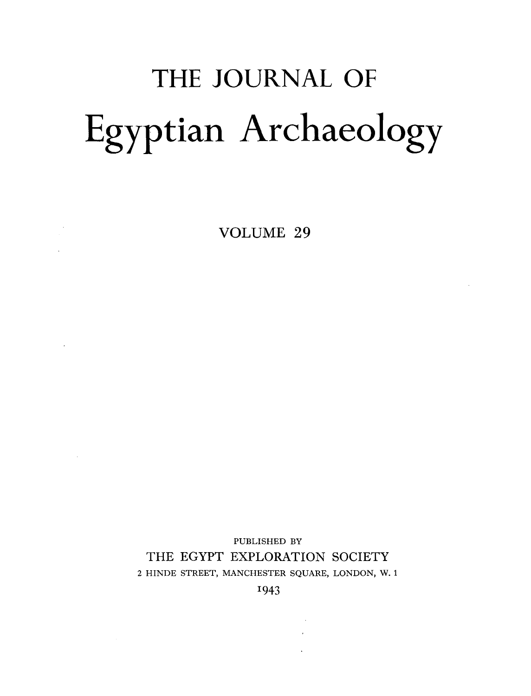## THE JOURNAL OF Egyptian Archaeology

VOLUME 29

 $\mathcal{L}(\mathcal{A})$  and  $\mathcal{L}(\mathcal{A})$ 

 $\mathcal{L}^{\text{max}}_{\text{max}}$  and  $\mathcal{L}^{\text{max}}_{\text{max}}$ 

PUBLISHED BY THE EGYPT EXPLORATION SOCIETY 2 HINDE STREET, MANCHESTER SQUARE, LONDON, W. 1

1943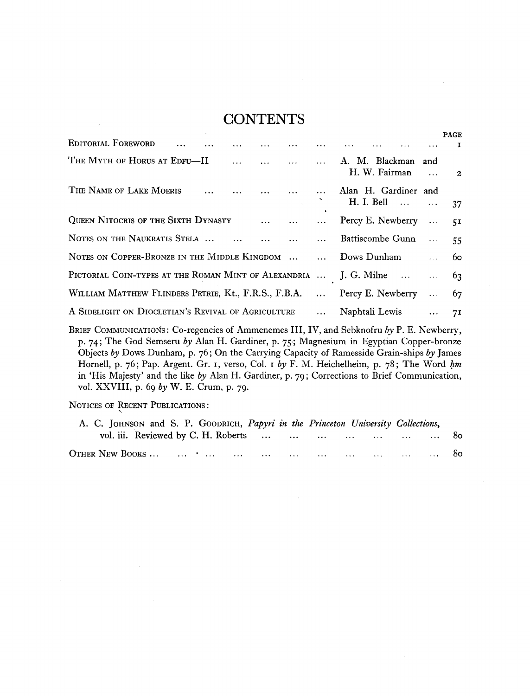## **CONTENTS**

|                                                                             |  |  |  |                          |  | <b>PAGE</b>  |
|-----------------------------------------------------------------------------|--|--|--|--------------------------|--|--------------|
|                                                                             |  |  |  |                          |  | $\mathbf{I}$ |
| THE MYTH OF HORUS AT EDFU—II     A. M. Blackman and                         |  |  |  | H. W. Fairman $\cdots$ 2 |  |              |
| THE NAME OF LAKE MOERIS      Alan H. Gardiner and                           |  |  |  | H. I. Bell   37          |  |              |
| QUEEN NITOCRIS OF THE SIXTH DYNASTY    Percy E. Newberry  51                |  |  |  |                          |  |              |
| NOTES ON THE NAUKRATIS STELA      Dattiscombe Gunn  55                      |  |  |  |                          |  |              |
| NOTES ON COPPER-BRONZE IN THE MIDDLE KINGDOM   Dows Dunham  60              |  |  |  |                          |  |              |
| PICTORIAL COIN-TYPES AT THE ROMAN MINT OF ALEXANDRIA  J. G. Milne   63      |  |  |  |                          |  |              |
| WILLIAM MATTHEW FLINDERS PETRIE, Kt., F.R.S., F.B.A.  Percy E. Newberry  67 |  |  |  |                          |  |              |
| A SIDELIGHT ON DIOCLETIAN'S REVIVAL OF AGRICULTURE  Naphtali Lewis  71      |  |  |  |                          |  |              |

**BRIEF COMMUNICATIONS: Co-regencies of Ammenemes III, IV , and Sebknofru** *by* **P. E. Newberry, p.** 74; **The God Semseru** *by* **Alan H. Gardiner, p.** 75-; **Magnesium in Egyptian Copper-bronze Objects** *by* **Dows Dunham, p.** 76**; On the Carrying Capacity of Ramesside Grain-ships** *by* **James**  Hornell, p. 76; Pap. Argent. Gr. 1, verso, Col. 1 by F. M. Heichelheim, p. 78; The Word *hm* **in 'His Majesty' and the like** *by* **Alan H. Gardiner, p.** 79**; Corrections to Brief Communication, vol. XXVIII , p.** 69 *by* **W. E. Crum, p.** 79.

**NOTICES OE RECENT PUBLICATIONS :** 

| A. C. JOHNSON and S. P. GOODRICH, Papyri in the Princeton University Collections, |  |  |    |
|-----------------------------------------------------------------------------------|--|--|----|
| vol. iii. Reviewed by C. H. Roberts         80                                    |  |  |    |
|                                                                                   |  |  | 80 |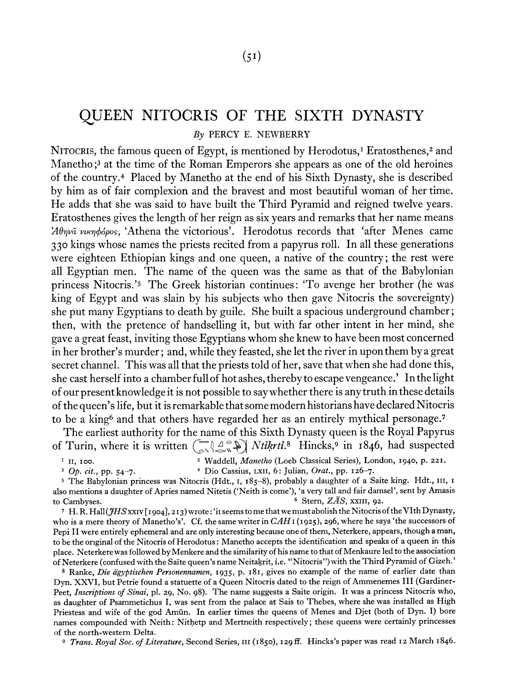## QUEEN NITOCRIS OF THE SIXTH DYNASTY

By PERCY E. NEWBERRY

NITOCRIS, the famous queen of Egypt, is mentioned by Herodotus,<sup>1</sup> Eratosthenes,<sup>2</sup> and Manetho;<sup>3</sup> at the time of the Roman Emperors she appears as one of the old heroines of the country.4 Placed by Manetho at the end of his Sixth Dynasty, she is described by him as of fair complexion and the bravest and most beautiful woman of her time. He adds that she was said to have built the Third Pyramid and reigned twelve years. Eratosthenes gives the length of her reign as six years and remarks that her name means  $24\theta\eta\nu\hat{\alpha}$  vux $\eta\phi\phi\rho$ os, 'Athena the victorious'. Herodotus records that 'after Menes came **330** kings whose names the priests recited from a papyrus roll. In all these generations were eighteen Ethiopian kings and one queen, a native of the country; the rest were all Egyptian men. The name of the queen mias the same as that of the Babylonian princess Nitocris.'5 The Greek historian continues: 'To avenge her brother (he was king of Egypt and was slain by his subjects who then gave Nitocris the sovereignty) she put many Egyptians to death by guile. She built a spacious underground chamber; then, with the pretence of handselling it, but with far other intent in her mind, she gave a great feast, inviting those Egyptians whom she knew to have been most concerned in her brother's murder ; and, while they feasted, she let the river in upon them by a great secret channel. This was all that the priests told of her, save that when she had done this, she cast herself into a chamber full of hot ashes, thereby to escape vengeance.' In the light of our present knowledge it is not possible to say whether thereis any truth in these details of the queen's life, but it is remarkable that some modern historians have declared Nitocris to be a king<sup>6</sup> and that others have regarded her as an entirely mythical personage.<sup>7</sup>

The earliest authority for the name of this Sixth Dynasty queen is the Royal Papyrus of Turin, where it is written  $\left(\sum_{i=1}^{n} \left\lfloor \frac{1}{2} \right\rfloor \right]$  *Ntikrti.8* Hincks,<sup>9</sup> in 1846, had suspected

11, 100. \t7addell, *Manetho* (Loeb Classical Series), London, 1940, p. 221.

*Op. cit.,* pp. 54-7. Dio Cassius, LXII, 6: Julian, *Orat.,* pp. 126-7.

**<sup>5</sup>**The Babylonian princess was Nitocris (Hdt., I, 185-8), probably a daughter of a Saite king. Hdt., III, I also mentions a daughter of Apries named Xitetis ('Neith is come'), 'a very tall and fair damsel'. sent by Arnasis to Cambyses.  $\qquad \qquad$   $\qquad$   $\qquad$   $\qquad$   $\qquad$   $\qquad$   $\qquad$   $\qquad$   $\qquad$   $\qquad$   $\qquad$   $\qquad$   $\qquad$   $\qquad$   $\qquad$   $\qquad$   $\qquad$   $\qquad$   $\qquad$   $\qquad$   $\qquad$   $\qquad$   $\qquad$   $\qquad$   $\qquad$   $\qquad$   $\qquad$   $\qquad$   $\qquad$   $\qquad$   $\qquad$   $\qquad$   $\qquad$   $\qquad$ 

<sup>7</sup> H. R. Hall( $JHS$ xx1v[1904], 213) wrote: 'it seems to me that we must abolish the Nitocris of the VIth Dynasty, who is a mere theory of Manetho's'. Cf. the same writer in  $CAH_1$  (1925), 296, where he says 'the successors of Pepi I1 were entirely ephemeral and are only interesting because one of them, Neterkere, appears, though a man, to be the original of the Nitocris of Herodotus: Manetho accepts the identification and speaks of a queen in this place. Neterkerewas followed by Menkere and the similarity of his name to that of Menkaure led to the association of Neterkere (confused with the Sai'te queen's name Neitakrit, i.e. "Nitocris")\vith the Third Pyramid of Gizeh.'

Ranke, **Die** *ag~ptischen Personennamen,* 1935, **p.** 181, gives no example of the name of earlier date than Dyn. XXVI, but Petrie found a statuette of a Queen Nitocris dated to the reign of Ammenemes I11 (Gardiner-Peet, *Inscriptions* of *Sinai,* pl. 29, No. 98). The name suggests a Saite origin. It was a princess Nitocris who, as daughter of Psammetichus I, was sent from the palace at Sais to Thebes, where she was installed as High Priestess and wife of the god Amūn. In earlier times the queens of Menes and Djet (both of Dyn. I) bore names compounded with Neith: Nithetp and Mertneith respectively; these queens were certainly princesses of the north-western Delta.

**9** *Trans. Royal Soc. of Literature,* Second Series, 111 (I 850), I zg ff. Hincks's paper was read I 2 March I 846.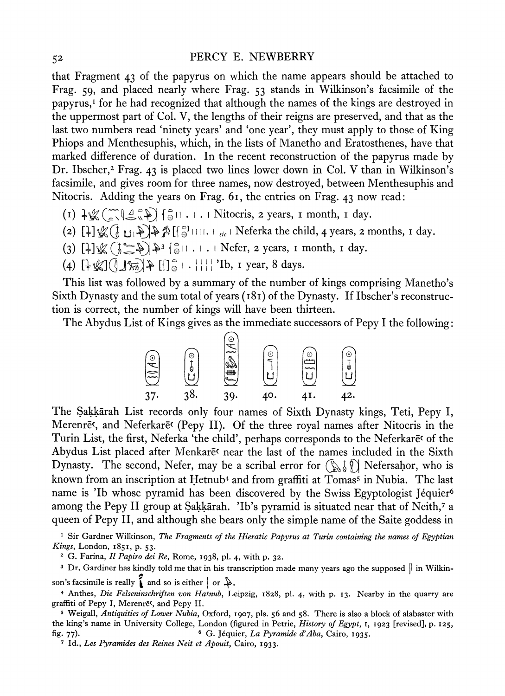## 52 PERCY E. NEWBERRY

that Fragment 43 of the papyrus on which the name appears should be attached to Frag. 59, and placed nearly where Frag. 53 stands in Wilkinson's facsimile of the papyrus,' for he had recognized that although the names of the kings are destroyed in the uppermost part of Col. V, the lengths of their reigns are preserved, and that as the last two numbers read 'ninety years' and 'one year', they must apply to those of King Phiops and Menthesuphis, which, in the lists of Manetho and Eratosthenes, have that marked difference of duration. In the recent reconstruction of the papyrus made by Dr. Ibscher,<sup>2</sup> Frag. 43 is placed two lines lower down in Col. V than in Wilkinson's facsimile, and gives room for three names, now destroyed, between Menthesuphis and Nitocris. Adding the years on Frag. 61, the entries on Frag. 43 now read:

- $(I) \sqrt[1]{\mathbb{Z}(\mathbb{Z} \setminus \mathbb{Z} \setminus \mathbb{Z})}$   $\left\{\frac{1}{\mathbb{Q}} | I \ldots I \right\}$  Nitocris, 2 years, I month, I day.
- (2)  $[\frac{1}{2}]\mathcal{L}(\frac{1}{6} \mathbf{U}_1 \mathbf{I}) \mathbf{I}(\frac{1}{6} \mathbf{U}_1 \mathbf{I})$   $\mathcal{L}(\frac{1}{6} \mathbf{U}_1 \mathbf{I})$   $\mathcal{L}(\frac{1}{6} \mathbf{U}_1 \mathbf{I})$
- (3)  $[\frac{1}{2}]\mathcal{L}(\frac{1}{6}\mathcal{L}^2)[\frac{1}{2}(\frac{1}{6})]$  .  $\left[\frac{1}{2}(\frac{1}{6}\mathcal{L}^2)[\frac{1}{2}(\frac{1}{6})]$  .  $\left[\frac{1}{2}(\frac{1}{6}\mathcal{L}^2)[\frac{1}{2}(\frac{1}{6})]$  .  $\left[\frac{1}{2}(\frac{1}{6}\mathcal{L}^2)[\frac{1}{2}(\frac{1}{6})]$  .  $\left[\frac{1}{2}(\frac{1}{6}\mathcal{L}^2)[\frac{1}{2}(\frac{1}{$
- (4)  $[\frac{1}{2} \frac{1}{2} \frac{1}{2} \frac{1}{2} \cdot \frac{1}{2}] = [\frac{1}{2} \cdot \frac{1}{2}]$  'Ib, 1 year, 8 days.

This list was followed by a summary of the number of kings comprising Manetho's Sixth Dynasty and the sum total of years (181) of the Dynasty. If Ibscher's reconstruction is correct, the number of kings will have been thirteen.

The Abydus List of Kings gives as the immediate successors of Pepy I the following:



The Sakkarah List records only four names of Sixth Dynasty kings, Teti, Pepy I, Merenre<sup>c</sup>, and Neferkare<sup>c</sup> (Pepy II). Of the three royal names after Nitocris in the Turin List, the first, Neferka 'the child', perhaps corresponds to the NeferkarEc of the Abydus List placed after Menkar $\bar{e}$  near the last of the names included in the Sixth Dynasty. The second, Nefer, may be a scribal error for  $(\mathbb{N}^{\dagger})$  Nefersahor, who is known from an inscription at Hetnub4 and from graffiti at Tomass in Nubia. The last name is 'Ib whose pyramid has been discovered by the Swiss Egyptologist Jéquier<sup>6</sup> among the Pepy II group at Sakkārah. 'Ib's pyramid is situated near that of Neith,<sup>7</sup> a queen of Pepy 11, and although she bears only the simple name of the Saite goddess in

<sup>1</sup> Sir Gardner Wilkinson, *The Fragments of the Hieratic Papyrus at Turin containing the names of Egyptian Kings,* London, 1851, p. 53.

G. Farina, *I1 Papiro dei Re,* Rome, 1938, pl. 4, with p. 32.

<sup>3</sup> Dr. Gardiner has kindly told me that in his transcription made many years ago the supposed  $\parallel$  in Wilkinson's facsimile is really  $\hat{\textbf{a}}$  and so is either  $\mid$  or  $\hat{\textbf{a}}$ .

4 Anthes, *Die Felseninschriften von Hatnub*, Leipzig, 1828, pl. 4, with p. 13. Nearby in the quarry are graffiti of Pepy I, Merenrē<sup>t</sup>, and Pepy II.

**<sup>5</sup>**Weigall, *Antiquities of Lower Nubia,* Oxford, 1907, pls. 56 and 58. There is also a block of alabaster with the king's name in University College, London (figured in Petrie, *History of Egypt, I,* 1923 [revised], p. 125, fig. 77). G. JCquier, *La Pyramide d'Aba,* Cairo, 1935.

**7** Id., *Les Pyramides des Reines Neit et Apouit,* Cairo, 1933.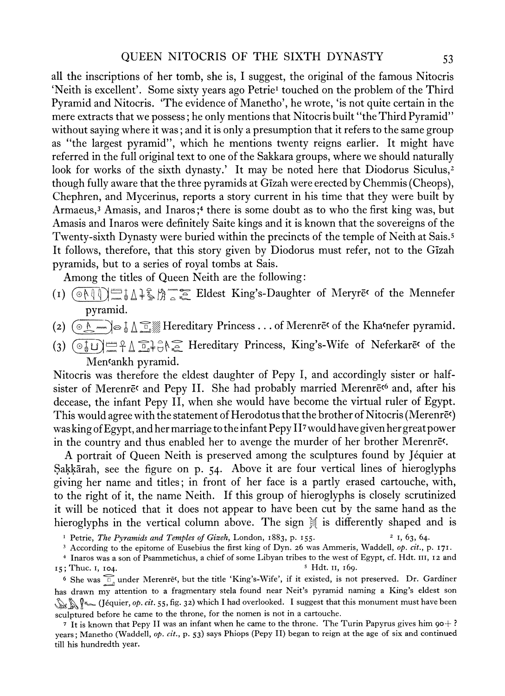all the inscriptions of her tomb, she is, I suggest, the original of the famous Nitocris 'Neith is excellent'. Some sixty years ago Petrie<sup>1</sup> touched on the problem of the Third Pyramid and Kitocris. 'The evidence of NIanetho', he wrote, 'is not quite certain in the mere extracts that we possess; he only mentions that Nitocris built "the Third Pyramid" without saying where it was; and it is only a presumption that it refers to the same group as "the largest pyramid", which he mentions twenty reigns earlier. It might have referred in the full original text to one of the Sakkara groups, where we should naturally look for works of the sixth dynasty.' It may be noted here that Diodorus Siculus, $2$ though fully aware that the three pyramids at Gizah were erected by Chemmis (Cheops), Chephren, and RIycerinus, reports a story current in his time that they were built by Armaeus,<sup>3</sup> Amasis, and Inaros;<sup>4</sup> there is some doubt as to who the first king was, but Amasis and Inaros were definitely Saite kings and it is known that the sovereigns of the Twenty-sixth Dynasty were buried within the precincts of the temple of Neith at Sais.5 It follows, therefore, that this story given by Diodorus must refer, not to the Gizah pyramids, but to a series of royal tombs at Sais.

Among the titles of Queen Neith are the following:

- (I) mg] a fag /Jj'Tz Eldest King's-Daughter of RIeryrEc of the IbIennefer pyramid.
- Hereditary Princess . . .of hlerenrEc of the Khacnefer pyramid. *(2)* **@/a** *3* z@
- (3)  $\left(\begin{matrix} \circ & \circ & \circ \\ \circ & \circ & \circ \end{matrix}\right)$   $\cong$   $\uparrow$   $\downarrow$   $\circ$   $\downarrow$   $\circ$   $\downarrow$   $\circ$   $\downarrow$   $\circ$   $\downarrow$   $\circ$   $\downarrow$   $\downarrow$   $\downarrow$   $\downarrow$   $\downarrow$   $\downarrow$   $\downarrow$   $\downarrow$   $\downarrow$   $\downarrow$   $\downarrow$   $\downarrow$   $\downarrow$   $\downarrow$   $\downarrow$   $\downarrow$   $\downarrow$   $\downarrow$   $\downarrow$   $\$ Men<sup>c</sup>ankh pyramid.

Nitocris was therefore the eldest daughter of Pepy I, and accordingly sister or halfsister of Merenre<sup>c</sup> and Pepy II. She had probably married Merenre<sup>c6</sup> and, after his decease, the infant Pepy 11, when she would have become the virtual ruler of Egypt. This would agree with the statement of Herodotus that the brother of Nitocris (Merenre $\epsilon$ ) was king of Egypt, and her marriage to the infant Pepy II7would have given her great power in the country and thus enabled her to avenge the murder of her brother Merenrec.

A portrait of Queen Neith is preserved among the sculptures found by Jéquier at Sakkārah, see the figure on p. 54. Above it are four vertical lines of hieroglyphs giving her name and titles; in front of her face is a partly erased cartouche, with, to the right of it, the name Neith. If this group of hieroglyphs is closely scrutinized it will be noticed that it does not appear to have been cut by the same hand as the hieroglyphs in the vertical column above. The sign  $\frac{3}{2}$  is differently shaped and is

<sup>1</sup> Petrie, *The Pyramids and Temples of Gizeh*, London, 1883, p. 155. <sup>2</sup> 1, 63, 64.

<sup>3</sup> According to the epitome of Eusebius the first king of Dyn. 26 was Ammeris, Waddell, *op. cit.*, p. **171**.

<sup>+</sup>Inaros was a son of Psammetichus, a chief of some Libyan tribes to the west of Egypt, cf. Hdt. **III, 12** and **15; Thuc. I, 104.** 

<sup>6</sup> She was  $\widehat{\mathbb{Z}}_n$  under Merenre<sup>c</sup>, but the title 'King's-Wife', if it existed, is not preserved. Dr. Gardiner has drawn my attention to a fragmentary stela found near Neit's pyramid naming a King's eldest son (Jéquier, *op. cit.* **55, fig. 32)** which I had overlooked. I suggest that this monument must have been sculptured before he came to the throne, for the nomen is not in a cartouche.

**<sup>7</sup>**It is known that Pepy I1 was an infant when he came to the throne. The Turin Papyrus gives him go+ ? years; Manetho (Waddell, op. *cit.,* p. **53)** says Phiops (Pepy 11) began to reign at the age of six and continued till his hundredth year.